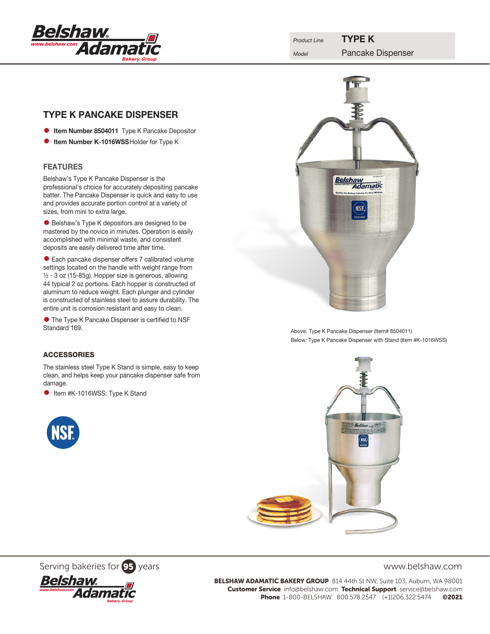

# TYPE K PANCAKE DISPENSER

- **Item Number 8504011** Type K Pancake Depositor
- **Item Number K-1016WSS Holder for Type K**

# FEATURES

Belshaw's Type K Pancake Dispenser is the professional's choice for accurately depositing pancake batter. The Pancake Dispenser is quick and easy to use and provides accurate portion control at a variety of sizes, from mini to extra large.

• Belshaw's Type K depositors are designed to be mastered by the novice in minutes. Operation is easily accomplished with minimal waste, and consistent deposits are easily delivered time after time.

• Each pancake dispenser offers 7 calibrated volume settings located on the handle with weight range from ½ - 3 oz (15-85g). Hopper size is generous, allowing 44 typical 2 oz portions. Each hopper is constructed of aluminum to reduce weight. Each plunger and cylinder is constructed of stainless steel to assure durability. The entire unit is corrosion resistant and easy to clean.

**• The Type K Pancake Dispenser is certified to NSF** Standard 169.

### ACCESSORIES

The stainless steel Type K Stand is simple, easy to keep clean, and helps keep your pancake dispenser safe from damage.

**• Item #K-1016WSS: Type K Stand** 





Above: Type K Pancake Dispenser (Item# 8504011) Below: Type K Pancake Dispenser with Stand (Item #K-1016WSS)



Serving bakeries for **95** years www.belshaw.com



BELSHAW ADAMATIC BAKERY GROUP 814 44th St NW, Suite 103, Auburn, WA 98001 Customer Service info@belshaw.com Technical Support service@belshaw.com Phone 1-800-BELSHAW 800.578.2547 (+1)206.322.5474 ©2021